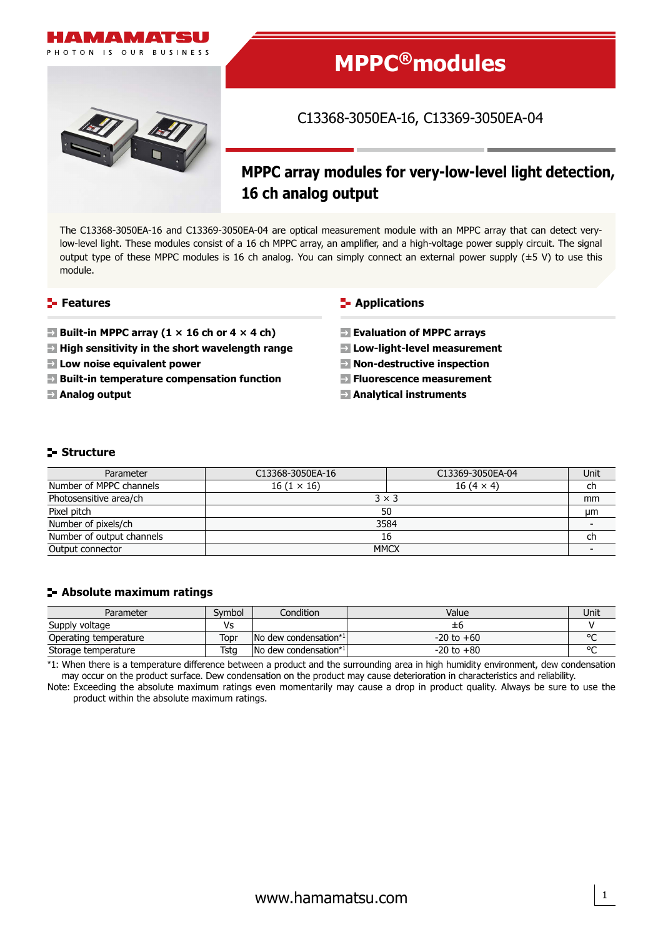



# **MPPC®modules**

# C13368-3050EA-16, C13369-3050EA-04

# **MPPC array modules for very-low-level light detection, 16 ch analog output**

The C13368-3050EA-16 and C13369-3050EA-04 are optical measurement module with an MPPC array that can detect verylow-level light. These modules consist of a 16 ch MPPC array, an amplifier, and a high-voltage power supply circuit. The signal output type of these MPPC modules is 16 ch analog. You can simply connect an external power supply (±5 V) to use this module.

#### **Features**

- **Built-in MPPC array (1**  $\times$  **16 ch or 4**  $\times$  **4 ch)**
- **High sensitivity in the short wavelength range**
- **Low noise equivalent power**
- **Built-in temperature compensation function**
- **Analog output**

#### **F** Applications

- **Evaluation of MPPC arrays**
- **Low-light-level measurement**
- **Non-destructive inspection**
- **Fluorescence measurement**
- **Analytical instruments**

#### **Structure**

| Parameter                 | C13368-3050EA-16  | C13369-3050EA-04 | Unit |
|---------------------------|-------------------|------------------|------|
| Number of MPPC channels   | $16(1 \times 16)$ | $16(4 \times 4)$ | ch   |
| Photosensitive area/ch    | $3 \times 3$      |                  |      |
| Pixel pitch               | 50                |                  |      |
| Number of pixels/ch       | 3584              |                  |      |
| Number of output channels | 16                |                  |      |
| Output connector          | <b>MMCX</b>       |                  |      |

#### **Absolute maximum ratings**

| Parameter             | Svmbol | Condition             | Value          | Unit   |
|-----------------------|--------|-----------------------|----------------|--------|
| Supply voltage        | Vs     |                       | ±b             |        |
| Operating temperature | Topr   | No dew condensation*1 | $-20$ to $+60$ | $\sim$ |
| Storage temperature   | Tsta   | No dew condensation*1 | $-20$ to $+80$ | $\sim$ |

\*1: When there is a temperature difference between a product and the surrounding area in high humidity environment, dew condensation may occur on the product surface. Dew condensation on the product may cause deterioration in characteristics and reliability.

Note: Exceeding the absolute maximum ratings even momentarily may cause a drop in product quality. Always be sure to use the product within the absolute maximum ratings.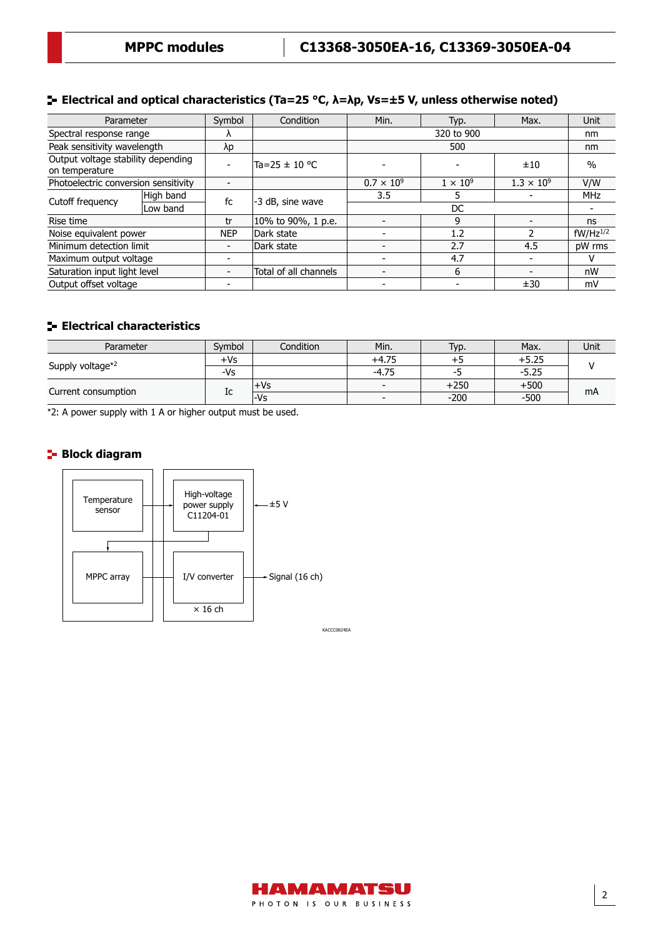#### **Electrical and optical characteristics (Ta=25 °C, λ=λp, Vs=±5 V, unless otherwise noted)**

| Parameter                                            |           | Symbol     | Condition             | Min.                | Typ.            | Max.                | <b>Unit</b>   |
|------------------------------------------------------|-----------|------------|-----------------------|---------------------|-----------------|---------------------|---------------|
| Spectral response range                              |           |            |                       | 320 to 900          |                 | nm                  |               |
| Peak sensitivity wavelength                          |           | λp         |                       | 500                 |                 | nm                  |               |
| Output voltage stability depending<br>on temperature |           |            | Ta=25 ± 10 °C         |                     |                 | ±10                 | $\%$          |
| Photoelectric conversion sensitivity                 |           |            |                       | $0.7 \times 10^{9}$ | $1 \times 10^9$ | $1.3 \times 10^{9}$ | V/W           |
| Cutoff frequency                                     | High band | fc         | -3 dB, sine wave      | 3.5                 |                 |                     | <b>MHz</b>    |
|                                                      | Low band  |            |                       | DC                  |                 |                     |               |
| Rise time                                            |           | tr         | 10% to 90%, 1 p.e.    |                     | 9               |                     | ns            |
| Noise equivalent power                               |           | <b>NEP</b> | Dark state            |                     | 1.2             |                     | $fW/Hz^{1/2}$ |
| Minimum detection limit                              |           |            | Dark state            |                     | 2.7             | 4.5                 | pW rms        |
| Maximum output voltage                               |           |            |                       |                     | 4.7             |                     | v             |
| Saturation input light level                         |           |            | Total of all channels |                     | 6               |                     | nW            |
| Output offset voltage                                |           |            |                       |                     |                 | ±30                 | mV            |

### **Electrical characteristics**

| Parameter           | Symbol | Condition | Min.                     | Typ.   | Max.    | Unit |
|---------------------|--------|-----------|--------------------------|--------|---------|------|
| Supply voltage*2    | $+Vs$  |           | $+4.75$                  |        | +5.25   |      |
|                     | -Vs    |           | $-4.75$                  | כ-     | $-5.25$ |      |
| Current consumption | ΙC     | +Vs       | $\overline{\phantom{0}}$ | $+250$ | $+500$  | mA   |
|                     |        | l-Vs      | $\overline{\phantom{a}}$ | $-200$ | $-500$  |      |

\*2: A power supply with 1 A or higher output must be used.

#### **Block diagram**



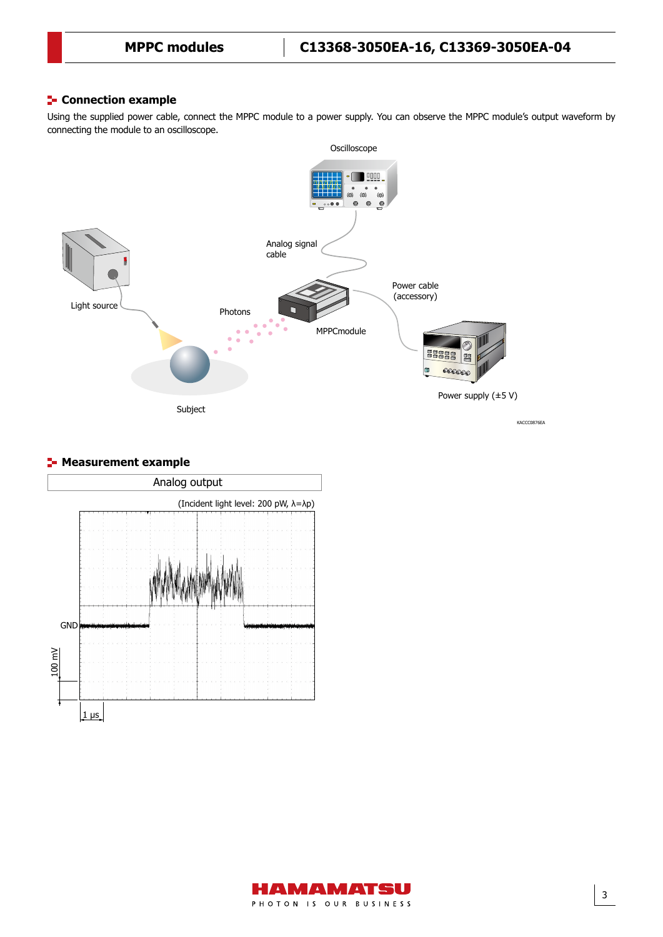#### Connection example **Connection example**

Using the supplied power cable, connect the MPPC module to a power supply. You can observe the MPPC module's output waveform by connecting the module to an oscilloscope.



#### **F** Measurement example



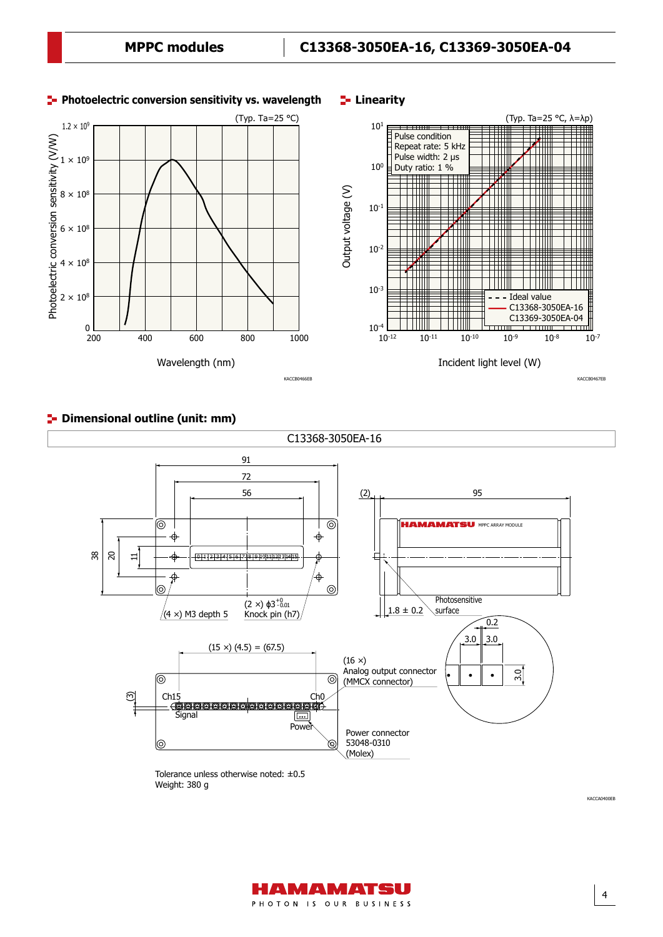

## **Dimensional outline (unit: mm)** Dimensional outline (unit: mm)



Weight: 380 g



4

KACCA0400EB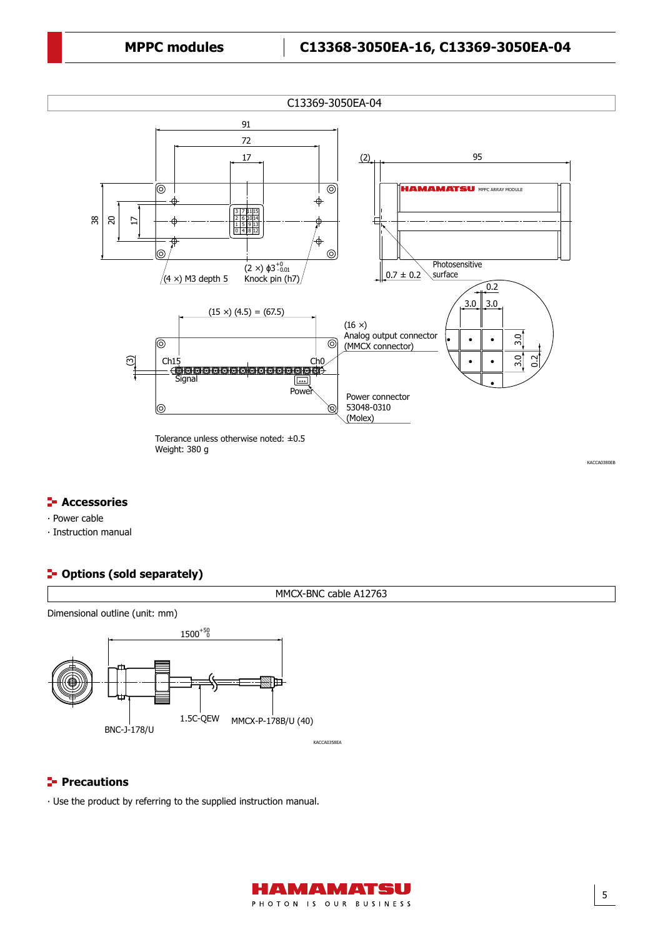

#### **F** Accessories

- ∙ Power cable
- ∙ Instruction manual

#### **<sup>1</sup>** Options (sold separately)



#### **Precautions**

∙ Use the product by referring to the supplied instruction manual.



5